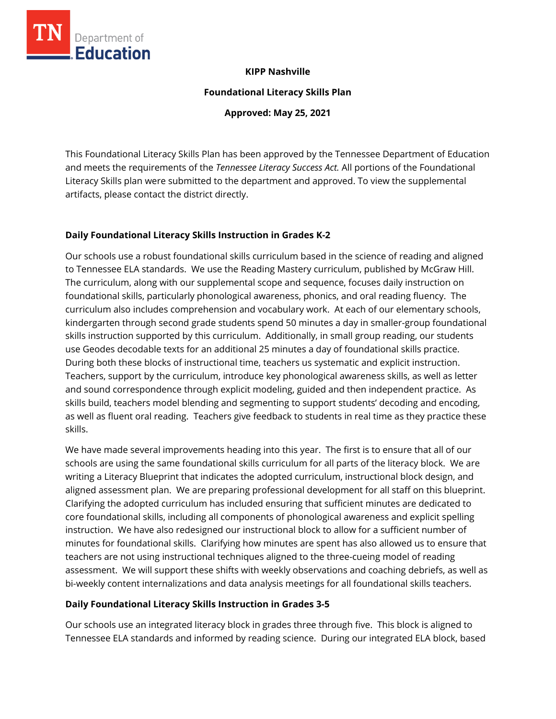

**Foundational Literacy Skills Plan**

**Approved: May 25, 2021**

This Foundational Literacy Skills Plan has been approved by the Tennessee Department of Education and meets the requirements of the *Tennessee Literacy Success Act.* All portions of the Foundational Literacy Skills plan were submitted to the department and approved. To view the supplemental artifacts, please contact the district directly.

# **Daily Foundational Literacy Skills Instruction in Grades K-2**

Department of **Education** 

Our schools use a robust foundational skills curriculum based in the science of reading and aligned to Tennessee ELA standards. We use the Reading Mastery curriculum, published by McGraw Hill. The curriculum, along with our supplemental scope and sequence, focuses daily instruction on foundational skills, particularly phonological awareness, phonics, and oral reading fluency. The curriculum also includes comprehension and vocabulary work. At each of our elementary schools, kindergarten through second grade students spend 50 minutes a day in smaller-group foundational skills instruction supported by this curriculum. Additionally, in small group reading, our students use Geodes decodable texts for an additional 25 minutes a day of foundational skills practice. During both these blocks of instructional time, teachers us systematic and explicit instruction. Teachers, support by the curriculum, introduce key phonological awareness skills, as well as letter and sound correspondence through explicit modeling, guided and then independent practice. As skills build, teachers model blending and segmenting to support students' decoding and encoding, as well as fluent oral reading. Teachers give feedback to students in real time as they practice these skills.

We have made several improvements heading into this year. The first is to ensure that all of our schools are using the same foundational skills curriculum for all parts of the literacy block. We are writing a Literacy Blueprint that indicates the adopted curriculum, instructional block design, and aligned assessment plan. We are preparing professional development for all staff on this blueprint. Clarifying the adopted curriculum has included ensuring that sufficient minutes are dedicated to core foundational skills, including all components of phonological awareness and explicit spelling instruction. We have also redesigned our instructional block to allow for a sufficient number of minutes for foundational skills. Clarifying how minutes are spent has also allowed us to ensure that teachers are not using instructional techniques aligned to the three-cueing model of reading assessment. We will support these shifts with weekly observations and coaching debriefs, as well as bi-weekly content internalizations and data analysis meetings for all foundational skills teachers.

# **Daily Foundational Literacy Skills Instruction in Grades 3-5**

Our schools use an integrated literacy block in grades three through five. This block is aligned to Tennessee ELA standards and informed by reading science. During our integrated ELA block, based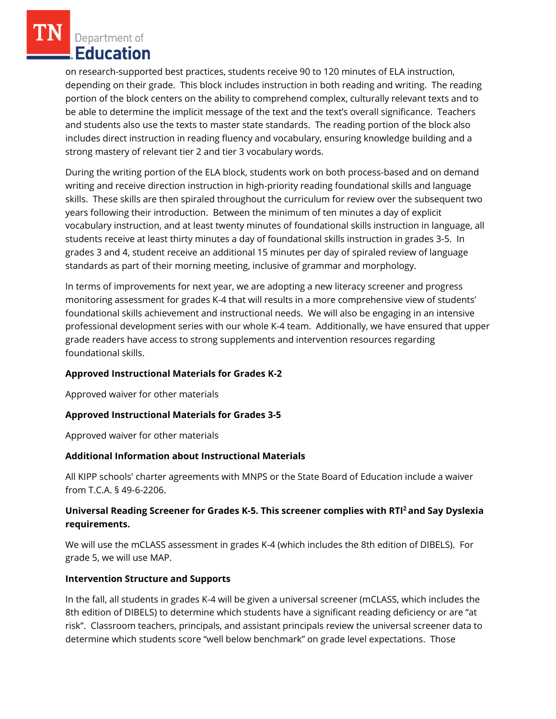Department of Education

on research-supported best practices, students receive 90 to 120 minutes of ELA instruction, depending on their grade. This block includes instruction in both reading and writing. The reading portion of the block centers on the ability to comprehend complex, culturally relevant texts and to be able to determine the implicit message of the text and the text's overall significance. Teachers and students also use the texts to master state standards. The reading portion of the block also includes direct instruction in reading fluency and vocabulary, ensuring knowledge building and a strong mastery of relevant tier 2 and tier 3 vocabulary words.

During the writing portion of the ELA block, students work on both process-based and on demand writing and receive direction instruction in high-priority reading foundational skills and language skills. These skills are then spiraled throughout the curriculum for review over the subsequent two years following their introduction. Between the minimum of ten minutes a day of explicit vocabulary instruction, and at least twenty minutes of foundational skills instruction in language, all students receive at least thirty minutes a day of foundational skills instruction in grades 3-5. In grades 3 and 4, student receive an additional 15 minutes per day of spiraled review of language standards as part of their morning meeting, inclusive of grammar and morphology.

In terms of improvements for next year, we are adopting a new literacy screener and progress monitoring assessment for grades K-4 that will results in a more comprehensive view of students' foundational skills achievement and instructional needs. We will also be engaging in an intensive professional development series with our whole K-4 team. Additionally, we have ensured that upper grade readers have access to strong supplements and intervention resources regarding foundational skills.

# **Approved Instructional Materials for Grades K-2**

Approved waiver for other materials

# **Approved Instructional Materials for Grades 3-5**

Approved waiver for other materials

# **Additional Information about Instructional Materials**

All KIPP schools' charter agreements with MNPS or the State Board of Education include a waiver from T.C.A. § 49-6-2206.

# **Universal Reading Screener for Grades K-5. This screener complies with RTI<sup>2</sup>and Say Dyslexia requirements.**

We will use the mCLASS assessment in grades K-4 (which includes the 8th edition of DIBELS). For grade 5, we will use MAP.

# **Intervention Structure and Supports**

In the fall, all students in grades K-4 will be given a universal screener (mCLASS, which includes the 8th edition of DIBELS) to determine which students have a significant reading deficiency or are "at risk". Classroom teachers, principals, and assistant principals review the universal screener data to determine which students score "well below benchmark" on grade level expectations. Those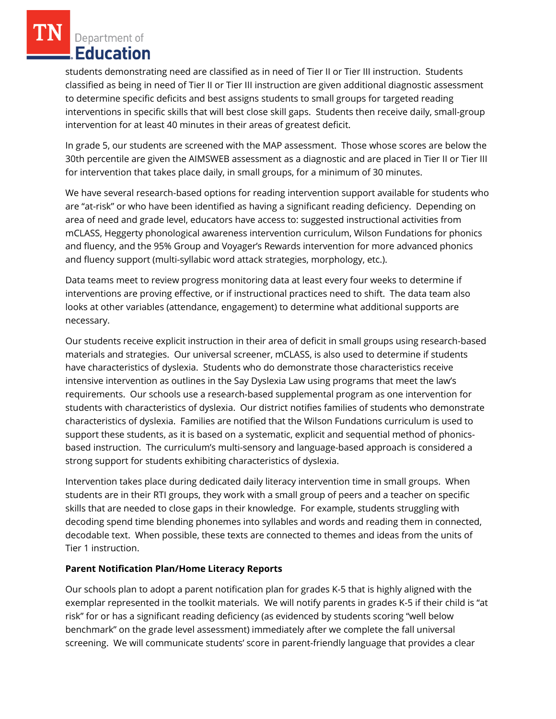Department of **Education** 

students demonstrating need are classified as in need of Tier II or Tier III instruction. Students classified as being in need of Tier II or Tier III instruction are given additional diagnostic assessment to determine specific deficits and best assigns students to small groups for targeted reading interventions in specific skills that will best close skill gaps. Students then receive daily, small-group intervention for at least 40 minutes in their areas of greatest deficit.

In grade 5, our students are screened with the MAP assessment. Those whose scores are below the 30th percentile are given the AIMSWEB assessment as a diagnostic and are placed in Tier II or Tier III for intervention that takes place daily, in small groups, for a minimum of 30 minutes.

We have several research-based options for reading intervention support available for students who are "at-risk" or who have been identified as having a significant reading deficiency. Depending on area of need and grade level, educators have access to: suggested instructional activities from mCLASS, Heggerty phonological awareness intervention curriculum, Wilson Fundations for phonics and fluency, and the 95% Group and Voyager's Rewards intervention for more advanced phonics and fluency support (multi-syllabic word attack strategies, morphology, etc.).

Data teams meet to review progress monitoring data at least every four weeks to determine if interventions are proving effective, or if instructional practices need to shift. The data team also looks at other variables (attendance, engagement) to determine what additional supports are necessary.

Our students receive explicit instruction in their area of deficit in small groups using research-based materials and strategies. Our universal screener, mCLASS, is also used to determine if students have characteristics of dyslexia. Students who do demonstrate those characteristics receive intensive intervention as outlines in the Say Dyslexia Law using programs that meet the law's requirements. Our schools use a research-based supplemental program as one intervention for students with characteristics of dyslexia. Our district notifies families of students who demonstrate characteristics of dyslexia. Families are notified that the Wilson Fundations curriculum is used to support these students, as it is based on a systematic, explicit and sequential method of phonicsbased instruction. The curriculum's multi-sensory and language-based approach is considered a strong support for students exhibiting characteristics of dyslexia.

Intervention takes place during dedicated daily literacy intervention time in small groups. When students are in their RTI groups, they work with a small group of peers and a teacher on specific skills that are needed to close gaps in their knowledge. For example, students struggling with decoding spend time blending phonemes into syllables and words and reading them in connected, decodable text. When possible, these texts are connected to themes and ideas from the units of Tier 1 instruction.

# **Parent Notification Plan/Home Literacy Reports**

Our schools plan to adopt a parent notification plan for grades K-5 that is highly aligned with the exemplar represented in the toolkit materials. We will notify parents in grades K-5 if their child is "at risk" for or has a significant reading deficiency (as evidenced by students scoring "well below benchmark" on the grade level assessment) immediately after we complete the fall universal screening. We will communicate students' score in parent-friendly language that provides a clear